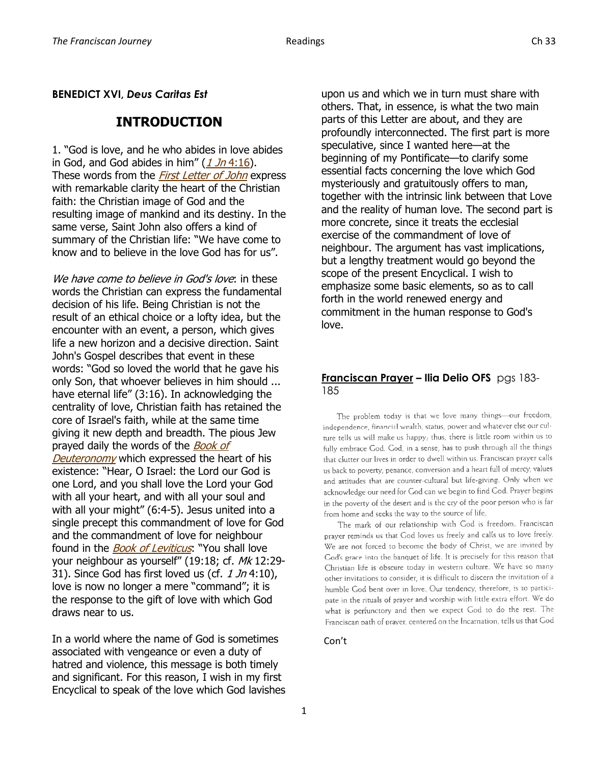## **BENEDICT XVI,** *Deus Caritas Est*

# **INTRODUCTION**

1. "God is love, and he who abides in love abides in God, and God abides in him"  $(1 Jn 4:16)$  $(1 Jn 4:16)$ . These words from the *[First Letter of John](http://www.vatican.va/archive/ENG0839/__P12B.HTM)* express with remarkable clarity the heart of the Christian faith: the Christian image of God and the resulting image of mankind and its destiny. In the same verse, Saint John also offers a kind of summary of the Christian life: "We have come to know and to believe in the love God has for us".

We have come to believe in God's love: in these words the Christian can express the fundamental decision of his life. Being Christian is not the result of an ethical choice or a lofty idea, but the encounter with an event, a person, which gives life a new horizon and a decisive direction. Saint John's Gospel describes that event in these words: "God so loved the world that he gave his only Son, that whoever believes in him should ... have eternal life" (3:16). In acknowledging the centrality of love, Christian faith has retained the core of Israel's faith, while at the same time giving it new depth and breadth. The pious Jew prayed daily the words of the **Book of** [Deuteronomy](http://www.vatican.va/archive/ENG0839/__P4G.HTM) which expressed the heart of his existence: "Hear, O Israel: the Lord our God is one Lord, and you shall love the Lord your God with all your heart, and with all your soul and with all your might" (6:4-5). Jesus united into a single precept this commandment of love for God and the commandment of love for neighbour found in the *[Book of Leviticus](http://www.vatican.va/archive/ENG0839/__P2N.HTM)*: "You shall love your neighbour as yourself" (19:18; cf. Mk 12:29-31). Since God has first loved us (cf.  $1 \text{ Jn } 4:10$ ), love is now no longer a mere "command"; it is the response to the gift of love with which God draws near to us.

In a world where the name of God is sometimes associated with vengeance or even a duty of hatred and violence, this message is both timely and significant. For this reason, I wish in my first Encyclical to speak of the love which God lavishes upon us and which we in turn must share with others. That, in essence, is what the two main parts of this Letter are about, and they are profoundly interconnected. The first part is more speculative, since I wanted here—at the beginning of my Pontificate—to clarify some essential facts concerning the love which God mysteriously and gratuitously offers to man, together with the intrinsic link between that Love and the reality of human love. The second part is more concrete, since it treats the ecclesial exercise of the commandment of love of neighbour. The argument has vast implications, but a lengthy treatment would go beyond the scope of the present Encyclical. I wish to emphasize some basic elements, so as to call forth in the world renewed energy and commitment in the human response to God's love.

# **Franciscan Prayer – Ilia Delio OFS** pgs 183- 185

The problem today is that we love many things-our freedom, independence, financial wealth, status, power and whatever else our culture tells us will make us happy; thus, there is little room within us to fully embrace God. God, in a sense, has to push through all the things that clutter our lives in order to dwell within us. Franciscan prayer calls us back to poverty, penance, conversion and a heart full of mercy, values and attitudes that are counter-cultural but life-giving. Only when we acknowledge our need for God can we begin to find God. Prayer begins in the poverty of the desert and is the cry of the poor person who is far from home and seeks the way to the source of life,

The mark of our relationship with God is freedom. Franciscan prayer reminds us that God loves us freely and calls us to love freely. We are not forced to become the body of Christ, we are invited by God's grace into the banquet of life. It is precisely for this reason that Christian life is obscure today in western culture. We have so many other invitations to consider, it is difficult to discern the invitation of a humble God bent over in love. Our tendency, therefore, is to participate in the rituals of prayer and worship with little extra effort. We do what is perfunctory and then we expect God to do the rest. The Franciscan path of prayer, centered on the Incarnation, tells us that God

## Con't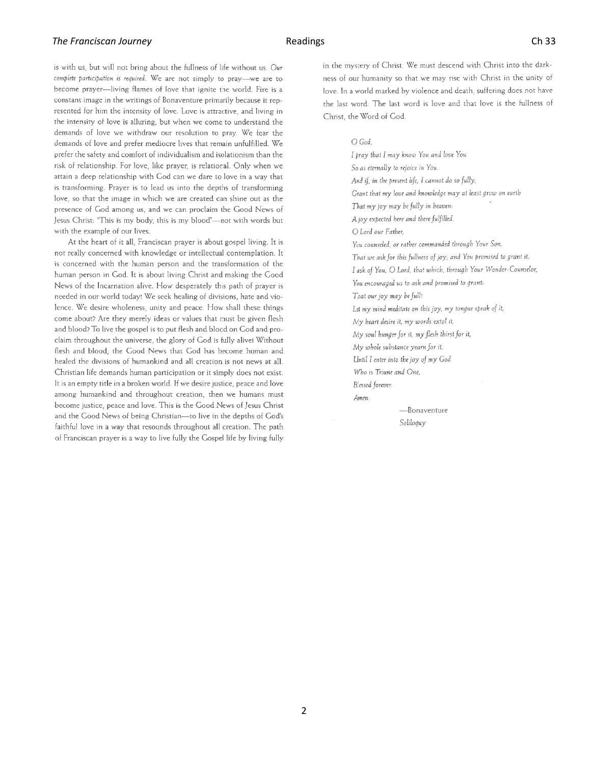### **The Franciscan Journey Ch 33 Ch 33**

is with us, but will not bring about the fullness of life without us. Our complete participation is required. We are not simply to pray-we are to become prayer—living flames of love that ignite the world. Fire is a constant image in the writings of Bonaventure primarily because it represented for him the intensity of love. Love is attractive, and living in the intensity of love is alluring, but when we come to understand the demands of love we withdraw our resolution to pray. We fear the demands of love and prefer mediocre lives that remain unfulfilled. We prefer the safety and comfort of individualism and isolationism than the risk of relationship. For love, like prayer, is relational. Only when we attain a deep relationship with God can we dare to love in a way that is transforming. Prayer is to lead us into the depths of transforming love, so that the image in which we are created can shine out as the presence of God among us, and we can proclaim the Good News of Jesus Christ: "This is my body, this is my blood"-not with words but with the example of our lives.

At the heart of it all, Franciscan prayer is about gospel living. It is not really concerned with knowledge or intellectual contemplation. It is concerned with the human person and the transformation of the human person in God. It is about living Christ and making the Good News of the Incarnation alive. How desperately this path of prayer is needed in our world today! We seek healing of divisions, hate and violence. We desire wholeness, unity and peace. How shall these things come about? Are they merely ideas or values that must be given flesh and blood? To live the gospel is to put flesh and blood on God and proclaim throughout the universe, the glory of God is fully alive! Without flesh and blood, the Good News that God has become human and healed the divisions of humankind and all creation is not news at all. Christian life demands human participation or it simply does not exist. It is an empty title in a broken world. If we desire justice, peace and love among humankind and throughout creation, then we humans must become justice, peace and love. This is the Good News of Jesus Christ and the Good News of being Christian-to live in the depths of God's faithful love in a way that resounds throughout all creation. The path of Franciscan prayer is a way to live fully the Gospel life by living fully in the mystery of Christ. We must descend with Christ into the darkness of our humanity so that we may rise with Christ in the unity of love. In a world marked by violence and death, suffering does not have the last word. The last word is love and that love is the fullness of Christ, the Word of God.

 $O$  God

I pray that I may know You and love You So as eternally to rejoice in You. And if, in the present life, I cannot do so fully, Grant that my love and knowledge may at least grow on earth That my joy may be fully in heaven: A joy expected here and there fulfilled. O Lord our Father, You counseled, or rather commanded through Your Son, That we ask for this fullness of joy, and You promised to grant it. I ask of You, O Lord, that which, through Your Wonder-Counselor, You encouraged us to ask and promised to grant: That our joy may be full! Let my mind meditate on this joy, my tongue speak of it, My heart desire it, my words extol it, My soul bunger for it, my flesh thirst for it, My whole substance yearn for it, Until I enter into the joy of my God Who is Triune and One, Blessed forever Amen. -Bonaventure

Soliloguy